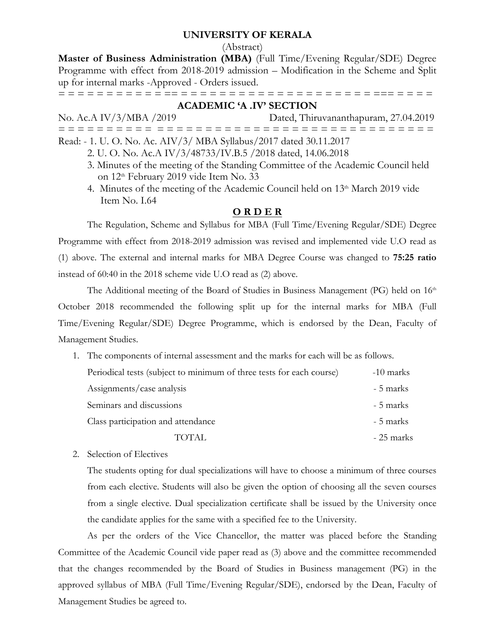#### **UNIVERSITY OF KERALA**

(Abstract)

**Master of Business Administration (MBA)** (Full Time/Evening Regular/SDE) Degree Programme with effect from 2018-2019 admission – Modification in the Scheme and Split up for internal marks -Approved - Orders issued.

= = = = = = = = = = = == = = = = = = = = = = = = = = = = = = = = === = = = =

#### **ACADEMIC 'A .IV' SECTION**

No. Ac.A IV/3/MBA /2019 Dated, Thiruvananthapuram, 27.04.2019 = = = = = = = = = = = = = = = = = = = = = = = = = = = = = = = = = = = = = = = Read: - 1. U. O. No. Ac. AIV/3/ MBA Syllabus/2017 dated 30.11.2017

- 2. U. O. No. Ac.A IV/3/48733/IV.B.5 /2018 dated, 14.06.2018
- 3. Minutes of the meeting of the Standing Committee of the Academic Council held on 12<sup>th</sup> February 2019 vide Item No. 33
- 4. Minutes of the meeting of the Academic Council held on  $13<sup>th</sup>$  March 2019 vide Item No. I.64

### **O R D E R**

The Regulation, Scheme and Syllabus for MBA (Full Time/Evening Regular/SDE) Degree Programme with effect from 2018-2019 admission was revised and implemented vide U.O read as (1) above. The external and internal marks for MBA Degree Course was changed to **75:25 ratio** instead of 60:40 in the 2018 scheme vide U.O read as (2) above.

The Additional meeting of the Board of Studies in Business Management (PG) held on  $16<sup>th</sup>$ October 2018 recommended the following split up for the internal marks for MBA (Full Time/Evening Regular/SDE) Degree Programme, which is endorsed by the Dean, Faculty of Management Studies.

- 1. The components of internal assessment and the marks for each will be as follows. Periodical tests (subject to minimum of three tests for each course) -10 marks Assignments/case analysis - 5 marks Seminars and discussions  $\sim$  5 marks Class participation and attendance  $\sim$  5 marks TOTAL  $-25$  marks
- 2. Selection of Electives

The students opting for dual specializations will have to choose a minimum of three courses from each elective. Students will also be given the option of choosing all the seven courses from a single elective. Dual specialization certificate shall be issued by the University once the candidate applies for the same with a specified fee to the University.

As per the orders of the Vice Chancellor, the matter was placed before the Standing Committee of the Academic Council vide paper read as (3) above and the committee recommended that the changes recommended by the Board of Studies in Business management (PG) in the approved syllabus of MBA (Full Time/Evening Regular/SDE), endorsed by the Dean, Faculty of Management Studies be agreed to.